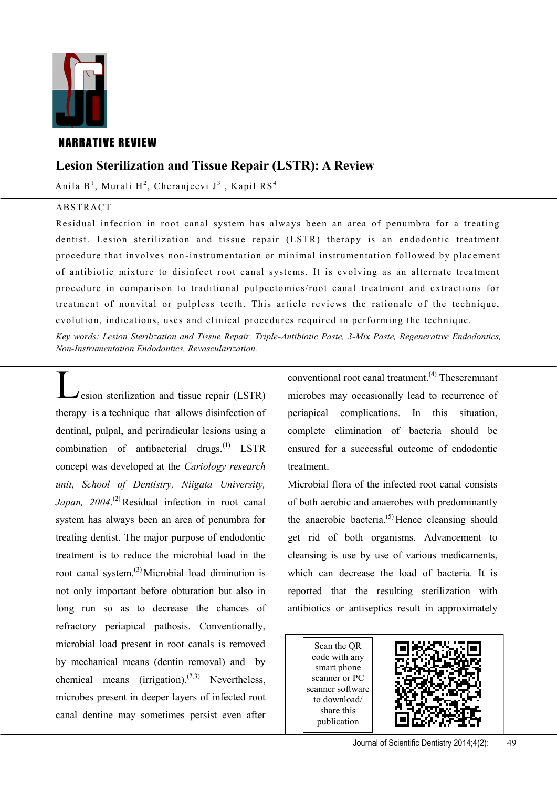

## **NARRATIVE REVIEW**

# **Lesion Sterilization and Tissue Repair (LSTR): A Review**

Anila B $^1$ , Murali H $^2$ , Cheranjeevi J $^3$  , Kapil RS $^4$ 

## ABSTRACT

Residual infection in root canal system has always been an area of penumbra for a treating dentist. Lesion sterilization and tissue repair (LSTR) therapy is an endodontic treatment procedure that involves non -instrumentation or minimal instrumentation followed by placement of antibiotic mixture to disinfect root canal systems. It is evolving as an alternate treatment procedure in comparison to traditional pulpectomies/root canal treatment and extractions for treatment of nonvital or pulpless teeth. This article reviews the rationale of the technique, evolution, indications, uses and clinical procedures required in performing the technique.

*Key words: Lesion Sterilization and Tissue Repair, Triple-Antibiotic Paste, 3-Mix Paste, Regenerative Endodontics, Non-Instrumentation Endodontics, Revascularization.* 

Lesion sterilization and tissue repair (LSTR) therapy is a technique that allows disinfection of dentinal, pulpal, and periradicular lesions using a combination of antibacterial drugs. $^{(1)}$  LSTR concept was developed at the *Cariology research unit, School of Dentistry, Niigata University,*  Japan, 2004.<sup>(2)</sup> Residual infection in root canal system has always been an area of penumbra for treating dentist. The major purpose of endodontic treatment is to reduce the microbial load in the root canal system.<sup>(3)</sup> Microbial load diminution is not only important before obturation but also in long run so as to decrease the chances of refractory periapical pathosis. Conventionally, microbial load present in root canals is removed by mechanical means (dentin removal) and by chemical means (irrigation).<sup>(2,3)</sup> Nevertheless, microbes present in deeper layers of infected root canal dentine may sometimes persist even after

conventional root canal treatment.(4) Theseremnant microbes may occasionally lead to recurrence of periapical complications. In this situation, complete elimination of bacteria should be ensured for a successful outcome of endodontic treatment.

Microbial flora of the infected root canal consists of both aerobic and anaerobes with predominantly the anaerobic bacteria. $(5)$  Hence cleansing should get rid of both organisms. Advancement to cleansing is use by use of various medicaments, which can decrease the load of bacteria. It is reported that the resulting sterilization with antibiotics or antiseptics result in approximately

Scan the QR code with any smart phone scanner or PC scanner software to download/ share this publication

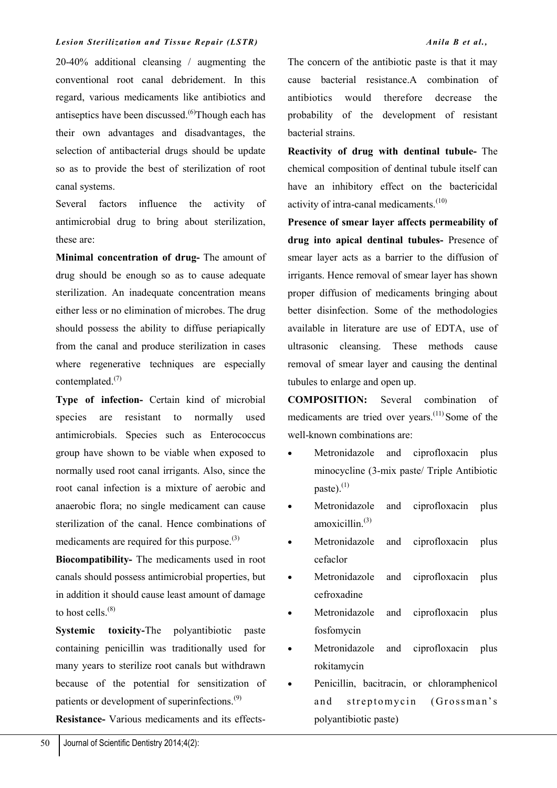20-40% additional cleansing / augmenting the conventional root canal debridement. In this regard, various medicaments like antibiotics and antiseptics have been discussed.<sup>(6)</sup>Though each has their own advantages and disadvantages, the selection of antibacterial drugs should be update so as to provide the best of sterilization of root canal systems.

Several factors influence the activity of antimicrobial drug to bring about sterilization, these are:

**Minimal concentration of drug-** The amount of drug should be enough so as to cause adequate sterilization. An inadequate concentration means either less or no elimination of microbes. The drug should possess the ability to diffuse periapically from the canal and produce sterilization in cases where regenerative techniques are especially contemplated.(7)

**Type of infection-** Certain kind of microbial species are resistant to normally used antimicrobials. Species such as Enterococcus group have shown to be viable when exposed to normally used root canal irrigants. Also, since the root canal infection is a mixture of aerobic and anaerobic flora; no single medicament can cause sterilization of the canal. Hence combinations of medicaments are required for this purpose.<sup>(3)</sup>

**Biocompatibility-** The medicaments used in root canals should possess antimicrobial properties, but in addition it should cause least amount of damage to host cells.<sup>(8)</sup>

**Systemic toxicity-**The polyantibiotic paste containing penicillin was traditionally used for many years to sterilize root canals but withdrawn because of the potential for sensitization of patients or development of superinfections.<sup>(9)</sup>

**Resistance-** Various medicaments and its effects-

The concern of the antibiotic paste is that it may cause bacterial resistance.A combination of antibiotics would therefore decrease the probability of the development of resistant bacterial strains.

**Reactivity of drug with dentinal tubule-** The chemical composition of dentinal tubule itself can have an inhibitory effect on the bactericidal activity of intra-canal medicaments.<sup>(10)</sup>

**Presence of smear layer affects permeability of drug into apical dentinal tubules-** Presence of smear layer acts as a barrier to the diffusion of irrigants. Hence removal of smear layer has shown proper diffusion of medicaments bringing about better disinfection. Some of the methodologies available in literature are use of EDTA, use of ultrasonic cleansing. These methods cause removal of smear layer and causing the dentinal tubules to enlarge and open up.

**COMPOSITION:** Several combination of medicaments are tried over years.<sup>(11)</sup> Some of the well-known combinations are:

- Metronidazole and ciprofloxacin plus minocycline (3-mix paste/ Triple Antibiotic paste). $^{(1)}$
- Metronidazole and ciprofloxacin plus amoxicillin.(3)
- Metronidazole and ciprofloxacin plus cefaclor
- Metronidazole and ciprofloxacin plus cefroxadine
- Metronidazole and ciprofloxacin plus fosfomycin
- Metronidazole and ciprofloxacin plus rokitamycin
- Penicillin, bacitracin, or chloramphenicol and streptomycin (Grossman's polyantibiotic paste)

50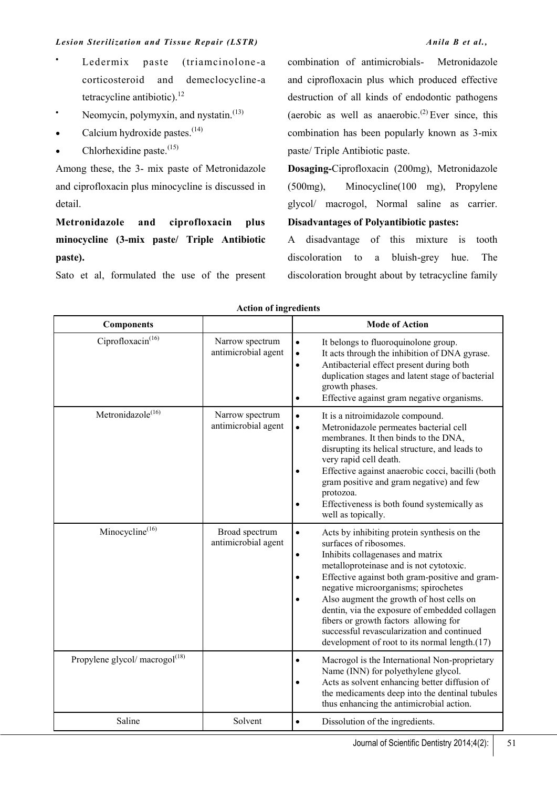- Ledermix paste (triamcinolone-a corticosteroid and demeclocycline-a tetracycline antibiotic).<sup>12</sup>
- Neomycin, polymyxin, and nystatin.<sup>(13)</sup>
- Calcium hydroxide pastes. $(14)$
- $\bullet$  Chlorhexidine paste.<sup>(15)</sup>

Among these, the 3- mix paste of Metronidazole and ciprofloxacin plus minocycline is discussed in detail.

**Metronidazole and ciprofloxacin plus minocycline (3-mix paste/ Triple Antibiotic paste).**

Sato et al, formulated the use of the present

combination of antimicrobials- Metronidazole and ciprofloxacin plus which produced effective destruction of all kinds of endodontic pathogens (aerobic as well as anaerobic.<sup>(2)</sup> Ever since, this combination has been popularly known as 3-mix paste/ Triple Antibiotic paste.

**Dosaging-**Ciprofloxacin (200mg), Metronidazole (500mg), Minocycline(100 mg), Propylene glycol/ macrogol, Normal saline as carrier. **Disadvantages of Polyantibiotic pastes:**

A disadvantage of this mixture is tooth discoloration to a bluish-grey hue. The discoloration brought about by tetracycline family

| <b>Components</b>                 |                                        | <b>Mode of Action</b>                                                                                                                                                                                                                                                                                                                                                                                                                                                                                                                   |
|-----------------------------------|----------------------------------------|-----------------------------------------------------------------------------------------------------------------------------------------------------------------------------------------------------------------------------------------------------------------------------------------------------------------------------------------------------------------------------------------------------------------------------------------------------------------------------------------------------------------------------------------|
| Ciprofloxacin $(16)$              | Narrow spectrum<br>antimicrobial agent | It belongs to fluoroquinolone group.<br>$\bullet$<br>It acts through the inhibition of DNA gyrase.<br>$\bullet$<br>Antibacterial effect present during both<br>$\bullet$<br>duplication stages and latent stage of bacterial<br>growth phases.<br>Effective against gram negative organisms.<br>$\bullet$                                                                                                                                                                                                                               |
| Metronidazole <sup>(16)</sup>     | Narrow spectrum<br>antimicrobial agent | It is a nitroimidazole compound.<br>$\bullet$<br>Metronidazole permeates bacterial cell<br>$\bullet$<br>membranes. It then binds to the DNA,<br>disrupting its helical structure, and leads to<br>very rapid cell death.<br>Effective against anaerobic cocci, bacilli (both<br>$\bullet$<br>gram positive and gram negative) and few<br>protozoa.<br>Effectiveness is both found systemically as<br>$\bullet$<br>well as topically.                                                                                                    |
| $Minocycline^{(16)}$              | Broad spectrum<br>antimicrobial agent  | Acts by inhibiting protein synthesis on the<br>$\bullet$<br>surfaces of ribosomes.<br>Inhibits collagenases and matrix<br>$\bullet$<br>metalloproteinase and is not cytotoxic.<br>Effective against both gram-positive and gram-<br>$\bullet$<br>negative microorganisms; spirochetes<br>Also augment the growth of host cells on<br>$\bullet$<br>dentin, via the exposure of embedded collagen<br>fibers or growth factors allowing for<br>successful revascularization and continued<br>development of root to its normal length.(17) |
| Propylene glycol/ macrogol $(18)$ |                                        | Macrogol is the International Non-proprietary<br>$\bullet$<br>Name (INN) for polyethylene glycol.<br>Acts as solvent enhancing better diffusion of<br>$\bullet$<br>the medicaments deep into the dentinal tubules<br>thus enhancing the antimicrobial action.                                                                                                                                                                                                                                                                           |
| Saline                            | Solvent                                | Dissolution of the ingredients.<br>$\bullet$                                                                                                                                                                                                                                                                                                                                                                                                                                                                                            |

Journal of Scientific Dentistry 2014;4(2):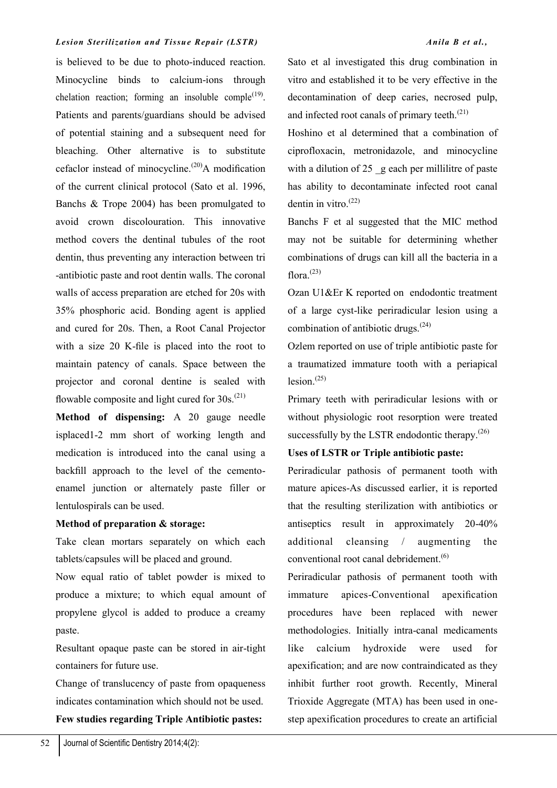is believed to be due to photo-induced reaction. Minocycline binds to calcium-ions through chelation reaction; forming an insoluble comple<sup>(19)</sup>. Patients and parents/guardians should be advised of potential staining and a subsequent need for bleaching. Other alternative is to substitute cefaclor instead of minocycline.<sup>(20)</sup>A modification of the current clinical protocol (Sato et al. 1996, Banchs & Trope 2004) has been promulgated to avoid crown discolouration. This innovative method covers the dentinal tubules of the root dentin, thus preventing any interaction between tri -antibiotic paste and root dentin walls. The coronal walls of access preparation are etched for 20s with 35% phosphoric acid. Bonding agent is applied and cured for 20s. Then, a Root Canal Projector with a size 20 K-file is placed into the root to maintain patency of canals. Space between the projector and coronal dentine is sealed with flowable composite and light cured for  $30s^{(21)}$ .

**Method of dispensing:** A 20 gauge needle isplaced1-2 mm short of working length and medication is introduced into the canal using a backfill approach to the level of the cementoenamel junction or alternately paste filler or lentulospirals can be used.

## **Method of preparation & storage:**

Take clean mortars separately on which each tablets/capsules will be placed and ground.

Now equal ratio of tablet powder is mixed to produce a mixture; to which equal amount of propylene glycol is added to produce a creamy paste.

Resultant opaque paste can be stored in air-tight containers for future use.

Change of translucency of paste from opaqueness indicates contamination which should not be used.

**Few studies regarding Triple Antibiotic pastes:**

Sato et al investigated this drug combination in vitro and established it to be very effective in the decontamination of deep caries, necrosed pulp, and infected root canals of primary teeth. $(21)$ 

Hoshino et al determined that a combination of ciprofloxacin, metronidazole, and minocycline with a dilution of  $25$  g each per millilitre of paste has ability to decontaminate infected root canal dentin in vitro. $(22)$ 

Banchs F et al suggested that the MIC method may not be suitable for determining whether combinations of drugs can kill all the bacteria in a flora. $^{(23)}$ 

Ozan U1&Er K reported on endodontic treatment of a large cyst-like periradicular lesion using a combination of antibiotic drugs.(24)

Ozlem reported on use of triple antibiotic paste for a traumatized immature tooth with a periapical  $lesion.$ <sup> $(25)$ </sup>

Primary teeth with periradicular lesions with or without physiologic root resorption were treated successfully by the LSTR endodontic therapy. $(26)$ 

## **Uses of LSTR or Triple antibiotic paste:**

Periradicular pathosis of permanent tooth with mature apices-As discussed earlier, it is reported that the resulting sterilization with antibiotics or antiseptics result in approximately 20-40% additional cleansing / augmenting the conventional root canal debridement.<sup>(6)</sup>

Periradicular pathosis of permanent tooth with immature apices-Conventional apexification procedures have been replaced with newer methodologies. Initially intra-canal medicaments like calcium hydroxide were used for apexification; and are now contraindicated as they inhibit further root growth. Recently, Mineral Trioxide Aggregate (MTA) has been used in onestep apexification procedures to create an artificial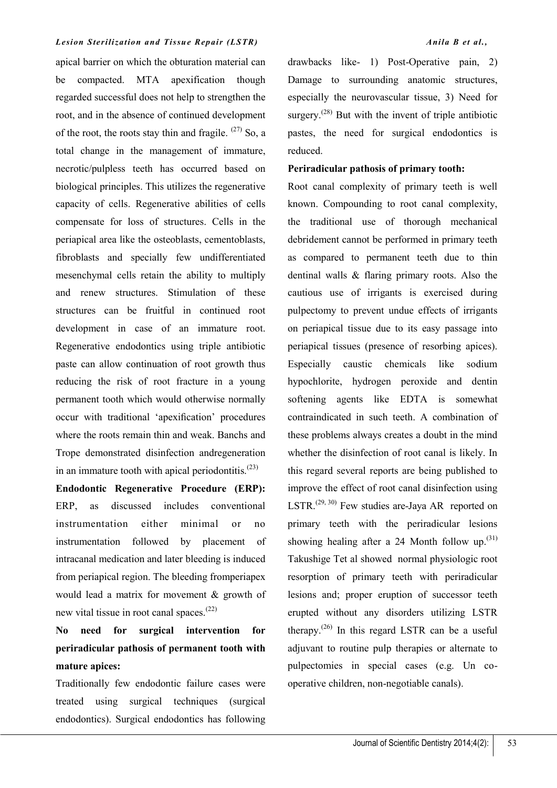apical barrier on which the obturation material can be compacted. MTA apexification though regarded successful does not help to strengthen the root, and in the absence of continued development of the root, the roots stay thin and fragile.  $(27)$  So, a total change in the management of immature, necrotic/pulpless teeth has occurred based on biological principles. This utilizes the regenerative capacity of cells. Regenerative abilities of cells compensate for loss of structures. Cells in the periapical area like the osteoblasts, cementoblasts, fibroblasts and specially few undifferentiated mesenchymal cells retain the ability to multiply and renew structures. Stimulation of these structures can be fruitful in continued root development in case of an immature root. Regenerative endodontics using triple antibiotic paste can allow continuation of root growth thus reducing the risk of root fracture in a young permanent tooth which would otherwise normally occur with traditional 'apexification' procedures where the roots remain thin and weak. Banchs and Trope demonstrated disinfection andregeneration in an immature tooth with apical periodontitis. $(23)$ 

**Endodontic Regenerative Procedure (ERP):**  ERP, as discussed includes conventional instrumentation either minimal or no instrumentation followed by placement of intracanal medication and later bleeding is induced from periapical region. The bleeding fromperiapex would lead a matrix for movement & growth of new vital tissue in root canal spaces.<sup>(22)</sup>

# **No need for surgical intervention for periradicular pathosis of permanent tooth with mature apices:**

Traditionally few endodontic failure cases were treated using surgical techniques (surgical endodontics). Surgical endodontics has following

drawbacks like- 1) Post-Operative pain, 2) Damage to surrounding anatomic structures, especially the neurovascular tissue, 3) Need for surgery. $(28)$  But with the invent of triple antibiotic pastes, the need for surgical endodontics is reduced.

## **Periradicular pathosis of primary tooth:**

Root canal complexity of primary teeth is well known. Compounding to root canal complexity, the traditional use of thorough mechanical debridement cannot be performed in primary teeth as compared to permanent teeth due to thin dentinal walls & flaring primary roots. Also the cautious use of irrigants is exercised during pulpectomy to prevent undue effects of irrigants on periapical tissue due to its easy passage into periapical tissues (presence of resorbing apices). Especially caustic chemicals like sodium hypochlorite, hydrogen peroxide and dentin softening agents like EDTA is somewhat contraindicated in such teeth. A combination of these problems always creates a doubt in the mind whether the disinfection of root canal is likely. In this regard several reports are being published to improve the effect of root canal disinfection using LSTR.<sup> $(29, 30)$ </sup> Few studies are-Jaya AR reported on primary teeth with the periradicular lesions showing healing after a 24 Month follow up. $(31)$ Takushige Tet al showed normal physiologic root resorption of primary teeth with periradicular lesions and; proper eruption of successor teeth erupted without any disorders utilizing LSTR therapy.<sup> $(26)$ </sup> In this regard LSTR can be a useful adjuvant to routine pulp therapies or alternate to pulpectomies in special cases (e.g. Un cooperative children, non-negotiable canals).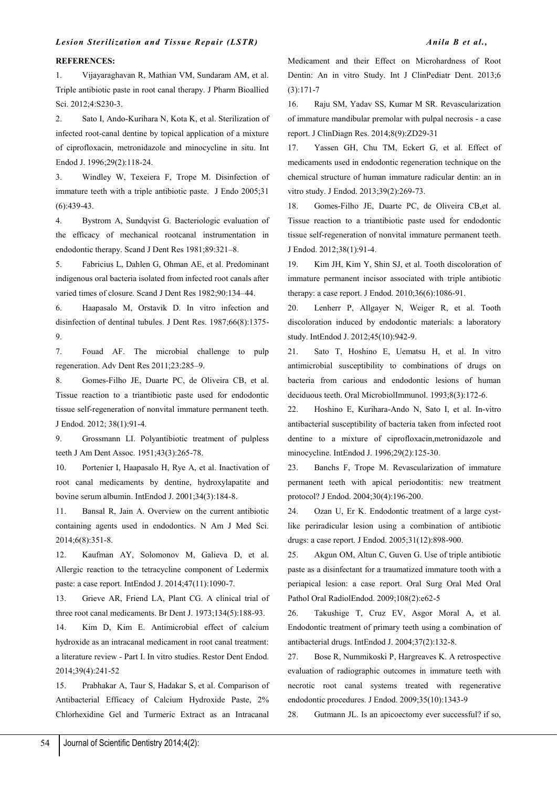#### **REFERENCES:**

1. Vijayaraghavan R, Mathian VM, Sundaram AM, et al. Triple antibiotic paste in root canal therapy. J Pharm Bioallied Sci. 2012;4:S230-3.

2. Sato I, Ando-Kurihara N, Kota K, et al. Sterilization of infected root-canal dentine by topical application of a mixture of ciprofloxacin, metronidazole and minocycline in situ. Int Endod J. 1996;29(2):118-24.

3. Windley W, Texeiera F, Trope M. Disinfection of immature teeth with a triple antibiotic paste. J Endo 2005;31 (6):439-43.

4. Bystrom A, Sundqvist G. Bacteriologic evaluation of the efficacy of mechanical rootcanal instrumentation in endodontic therapy. Scand J Dent Res 1981;89:321–8.

5. Fabricius L, Dahlen G, Ohman AE, et al. Predominant indigenous oral bacteria isolated from infected root canals after varied times of closure. Scand J Dent Res 1982;90:134–44.

6. Haapasalo M, Orstavik D. In vitro infection and disinfection of dentinal tubules. J Dent Res. 1987;66(8):1375- 9.

7. Fouad AF. The microbial challenge to pulp regeneration. Adv Dent Res 2011;23:285–9.

8. Gomes-Filho JE, Duarte PC, de Oliveira CB, et al. Tissue reaction to a triantibiotic paste used for endodontic tissue self-regeneration of nonvital immature permanent teeth. J Endod. 2012; 38(1):91-4.

9. Grossmann LI. Polyantibiotic treatment of pulpless teeth J Am Dent Assoc. 1951;43(3):265-78.

10. Portenier I, Haapasalo H, Rye A, et al. Inactivation of root canal medicaments by dentine, hydroxylapatite and bovine serum albumin. IntEndod J. 2001;34(3):184-8.

11. Bansal R, Jain A. Overview on the current antibiotic containing agents used in endodontics. N Am J Med Sci. 2014;6(8):351-8.

12. Kaufman AY, Solomonov M, Galieva D, et al. Allergic reaction to the tetracycline component of Ledermix paste: a case report. IntEndod J. 2014;47(11):1090-7.

13. Grieve AR, Friend LA, Plant CG. A clinical trial of three root canal medicaments. Br Dent J. 1973;134(5):188-93.

14. Kim D, Kim E. Antimicrobial effect of calcium hydroxide as an intracanal medicament in root canal treatment: a literature review - Part I. In vitro studies. Restor Dent Endod. 2014;39(4):241-52

15. Prabhakar A, Taur S, Hadakar S, et al. Comparison of Antibacterial Efficacy of Calcium Hydroxide Paste, 2% Chlorhexidine Gel and Turmeric Extract as an Intracanal

Medicament and their Effect on Microhardness of Root Dentin: An in vitro Study. Int J ClinPediatr Dent. 2013;6 (3):171-7

16. Raju SM, Yadav SS, Kumar M SR. Revascularization of immature mandibular premolar with pulpal necrosis - a case report. J ClinDiagn Res. 2014;8(9):ZD29-31

17. Yassen GH, Chu TM, Eckert G, et al. Effect of medicaments used in endodontic regeneration technique on the chemical structure of human immature radicular dentin: an in vitro study. J Endod. 2013;39(2):269-73.

18. Gomes-Filho JE, Duarte PC, de Oliveira CB,et al. Tissue reaction to a triantibiotic paste used for endodontic tissue self-regeneration of nonvital immature permanent teeth. J Endod. 2012;38(1):91-4.

19. Kim JH, Kim Y, Shin SJ, et al. Tooth discoloration of immature permanent incisor associated with triple antibiotic therapy: a case report. J Endod. 2010;36(6):1086-91.

20. Lenherr P, Allgayer N, Weiger R, et al. Tooth discoloration induced by endodontic materials: a laboratory study. IntEndod J. 2012;45(10):942-9.

21. Sato T, Hoshino E, Uematsu H, et al. In vitro antimicrobial susceptibility to combinations of drugs on bacteria from carious and endodontic lesions of human deciduous teeth. Oral MicrobiolImmunol. 1993;8(3):172-6.

22. Hoshino E, Kurihara-Ando N, Sato I, et al. In-vitro antibacterial susceptibility of bacteria taken from infected root dentine to a mixture of ciprofloxacin,metronidazole and minocycline. IntEndod J. 1996;29(2):125-30.

23. Banchs F, Trope M. Revascularization of immature permanent teeth with apical periodontitis: new treatment protocol? J Endod. 2004;30(4):196-200.

24. Ozan U, Er K. Endodontic treatment of a large cystlike periradicular lesion using a combination of antibiotic drugs: a case report. J Endod. 2005;31(12):898-900.

25. Akgun OM, Altun C, Guven G. Use of triple antibiotic paste as a disinfectant for a traumatized immature tooth with a periapical lesion: a case report. Oral Surg Oral Med Oral Pathol Oral RadiolEndod. 2009;108(2):e62-5

26. Takushige T, Cruz EV, Asgor Moral A, et al. Endodontic treatment of primary teeth using a combination of antibacterial drugs. IntEndod J. 2004;37(2):132-8.

27. Bose R, Nummikoski P, Hargreaves K. A retrospective evaluation of radiographic outcomes in immature teeth with necrotic root canal systems treated with regenerative endodontic procedures. J Endod. 2009;35(10):1343-9

28. Gutmann JL. Is an apicoectomy ever successful? if so,